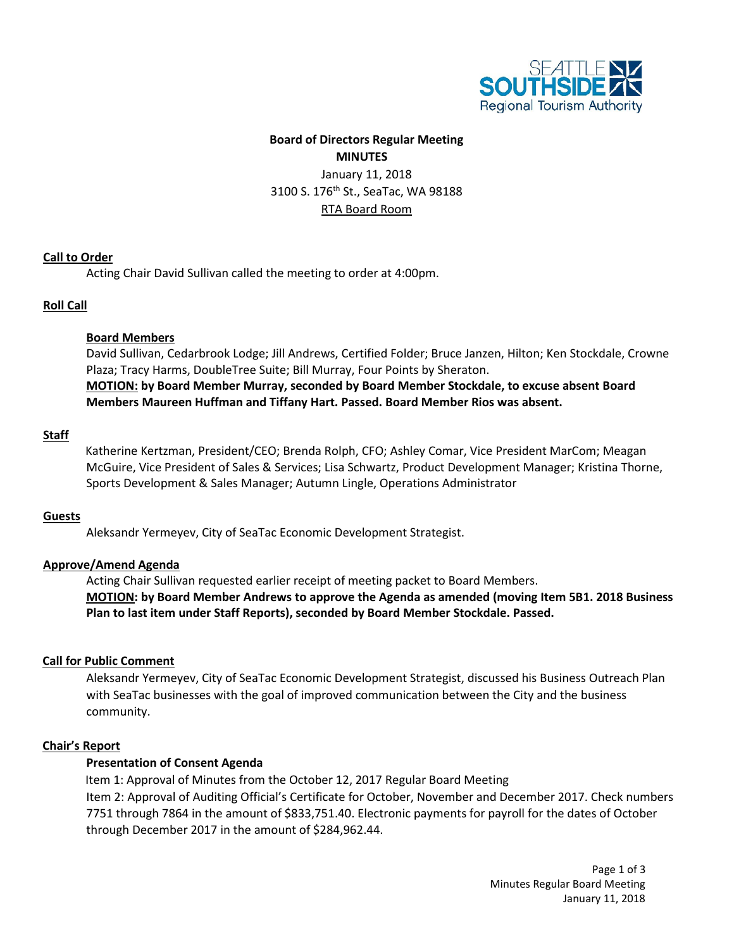

# **Board of Directors Regular Meeting MINUTES**

January 11, 2018 3100 S. 176<sup>th</sup> St., SeaTac, WA 98188 RTA Board Room

### **Call to Order**

Acting Chair David Sullivan called the meeting to order at 4:00pm.

### **Roll Call**

### **Board Members**

David Sullivan, Cedarbrook Lodge; Jill Andrews, Certified Folder; Bruce Janzen, Hilton; Ken Stockdale, Crowne Plaza; Tracy Harms, DoubleTree Suite; Bill Murray, Four Points by Sheraton. **MOTION: by Board Member Murray, seconded by Board Member Stockdale, to excuse absent Board Members Maureen Huffman and Tiffany Hart. Passed. Board Member Rios was absent.**

### **Staff**

Katherine Kertzman, President/CEO; Brenda Rolph, CFO; Ashley Comar, Vice President MarCom; Meagan McGuire, Vice President of Sales & Services; Lisa Schwartz, Product Development Manager; Kristina Thorne, Sports Development & Sales Manager; Autumn Lingle, Operations Administrator

#### **Guests**

Aleksandr Yermeyev, City of SeaTac Economic Development Strategist.

## **Approve/Amend Agenda**

Acting Chair Sullivan requested earlier receipt of meeting packet to Board Members. **MOTION: by Board Member Andrews to approve the Agenda as amended (moving Item 5B1. 2018 Business Plan to last item under Staff Reports), seconded by Board Member Stockdale. Passed.**

#### **Call for Public Comment**

Aleksandr Yermeyev, City of SeaTac Economic Development Strategist, discussed his Business Outreach Plan with SeaTac businesses with the goal of improved communication between the City and the business community.

#### **Chair's Report**

## **Presentation of Consent Agenda**

Item 1: Approval of Minutes from the October 12, 2017 Regular Board Meeting Item 2: Approval of Auditing Official's Certificate for October, November and December 2017. Check numbers 7751 through 7864 in the amount of \$833,751.40. Electronic payments for payroll for the dates of October through December 2017 in the amount of \$284,962.44.

> Page 1 of 3 Minutes Regular Board Meeting January 11, 2018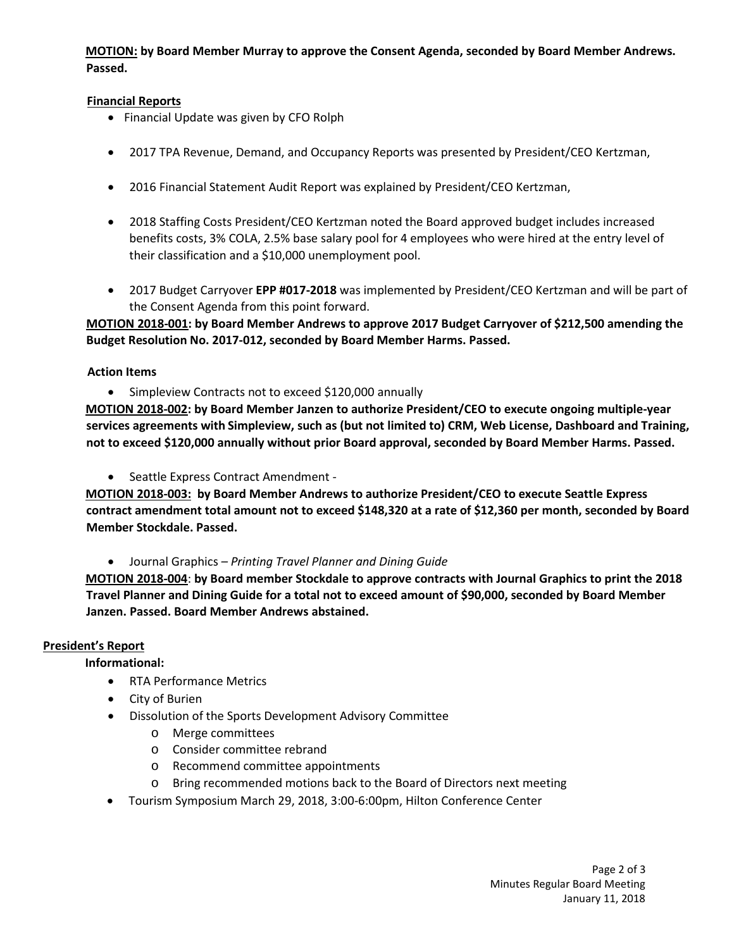**MOTION: by Board Member Murray to approve the Consent Agenda, seconded by Board Member Andrews. Passed.**

## **Financial Reports**

- Financial Update was given by CFO Rolph
- 2017 TPA Revenue, Demand, and Occupancy Reports was presented by President/CEO Kertzman,
- 2016 Financial Statement Audit Report was explained by President/CEO Kertzman,
- 2018 Staffing Costs President/CEO Kertzman noted the Board approved budget includes increased benefits costs, 3% COLA, 2.5% base salary pool for 4 employees who were hired at the entry level of their classification and a \$10,000 unemployment pool.
- 2017 Budget Carryover **EPP #017-2018** was implemented by President/CEO Kertzman and will be part of the Consent Agenda from this point forward.

**MOTION 2018-001: by Board Member Andrews to approve 2017 Budget Carryover of \$212,500 amending the Budget Resolution No. 2017-012, seconded by Board Member Harms. Passed.**

## **Action Items**

• Simpleview Contracts not to exceed \$120,000 annually

**MOTION 2018-002: by Board Member Janzen to authorize President/CEO to execute ongoing multiple-year services agreements with Simpleview, such as (but not limited to) CRM, Web License, Dashboard and Training, not to exceed \$120,000 annually without prior Board approval, seconded by Board Member Harms. Passed.**

• Seattle Express Contract Amendment -

**MOTION 2018-003: by Board Member Andrews to authorize President/CEO to execute Seattle Express contract amendment total amount not to exceed \$148,320 at a rate of \$12,360 per month, seconded by Board Member Stockdale. Passed.**

• Journal Graphics *– Printing Travel Planner and Dining Guide*

**MOTION 2018-004**: **by Board member Stockdale to approve contracts with Journal Graphics to print the 2018 Travel Planner and Dining Guide for a total not to exceed amount of \$90,000, seconded by Board Member Janzen. Passed. Board Member Andrews abstained.**

## **President's Report**

 **Informational:**

- RTA Performance Metrics
- City of Burien
- Dissolution of the Sports Development Advisory Committee
	- o Merge committees
	- o Consider committee rebrand
	- o Recommend committee appointments
	- o Bring recommended motions back to the Board of Directors next meeting
- Tourism Symposium March 29, 2018, 3:00-6:00pm, Hilton Conference Center